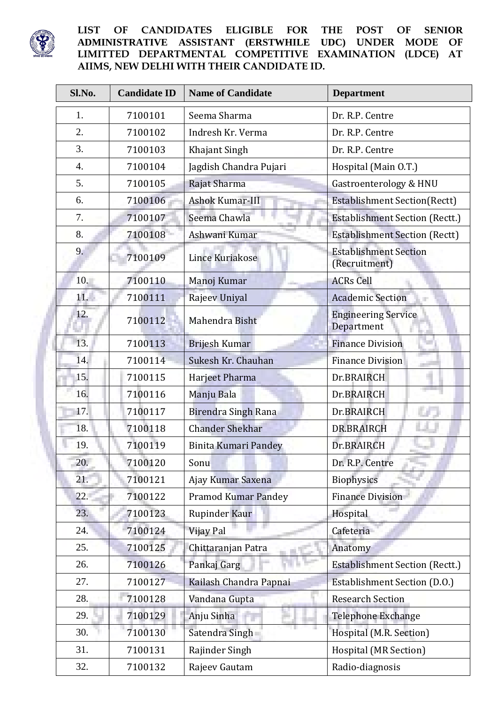

## **LIST OF CANDIDATES ELIGIBLE FOR THE POST OF SENIOR ADMINISTRATIVE ASSISTANT (ERSTWHILE UDC) UNDER MODE OF LIMITTED DEPARTMENTAL COMPETITIVE EXAMINATION (LDCE) AT AIIMS, NEW DELHI WITH THEIR CANDIDATE ID.**

| Sl.No.           | <b>Candidate ID</b> | <b>Name of Candidate</b>   | <b>Department</b>                             |
|------------------|---------------------|----------------------------|-----------------------------------------------|
| 1.               | 7100101             | Seema Sharma               | Dr. R.P. Centre                               |
| 2.               | 7100102             | Indresh Kr. Verma          | Dr. R.P. Centre                               |
| 3.               | 7100103             | Khajant Singh              | Dr. R.P. Centre                               |
| $\overline{4}$ . | 7100104             | Jagdish Chandra Pujari     | Hospital (Main O.T.)                          |
| 5.               | 7100105             | Rajat Sharma               | Gastroenterology & HNU                        |
| 6.               | 7100106             | Ashok Kumar-III            | <b>Establishment Section(Rectt)</b>           |
| 7.               | 7100107             | Seema Chawla               | <b>Establishment Section (Rectt.)</b>         |
| 8.               | 7100108             | Ashwani Kumar              | <b>Establishment Section (Rectt)</b>          |
| 9.               | 7100109             | Lince Kuriakose            | <b>Establishment Section</b><br>(Recruitment) |
| 10.              | 7100110             | Manoj Kumar                | <b>ACRs Cell</b>                              |
| 11.              | 7100111             | Rajeev Uniyal              | <b>Academic Section</b>                       |
| 12.              | 7100112             | Mahendra Bisht             | <b>Engineering Service</b><br>Department      |
| 13.              | 7100113             | <b>Brijesh Kumar</b>       | <b>Finance Division</b>                       |
| 14.              | 7100114             | Sukesh Kr. Chauhan         | <b>Finance Division</b>                       |
| 15.              | 7100115             | Harjeet Pharma             | Dr.BRAIRCH                                    |
| 16.              | 7100116             | Manju Bala                 | Dr.BRAIRCH                                    |
| 17.              | 7100117             | Birendra Singh Rana        | Dr.BRAIRCH                                    |
| 18.              | 7100118             | <b>Chander Shekhar</b>     | DR.BRAIRCH                                    |
| 19.              | 7100119             | Binita Kumari Pandey       | Dr.BRAIRCH                                    |
| 20.              | 7100120             | Sonu                       | Dr. R.P. Centre                               |
| 21.              | 7100121             | Ajay Kumar Saxena          | <b>Biophysics</b>                             |
| 22.              | 7100122             | <b>Pramod Kumar Pandey</b> | <b>Finance Division</b>                       |
| 23.              | 7100123             | Rupinder Kaur              | Hospital                                      |
| 24.              | 7100124             | Vijay Pal                  | Cafeteria                                     |
| 25.              | 7100125             | Chittaranjan Patra         | Anatomy                                       |
| 26.              | 7100126             | Pankaj Garg                | <b>Establishment Section (Rectt.)</b>         |
| 27.              | 7100127             | Kailash Chandra Papnai     | Establishment Section (D.O.)                  |
| 28.              | 7100128             | Vandana Gupta              | <b>Research Section</b>                       |
| 29.              | 7100129             | Anju Sinha                 | Telephone Exchange                            |
| 30.              | 7100130             | Satendra Singh             | Hospital (M.R. Section)                       |
| 31.              | 7100131             | Rajinder Singh             | Hospital (MR Section)                         |
| 32.              | 7100132             | Rajeev Gautam              | Radio-diagnosis                               |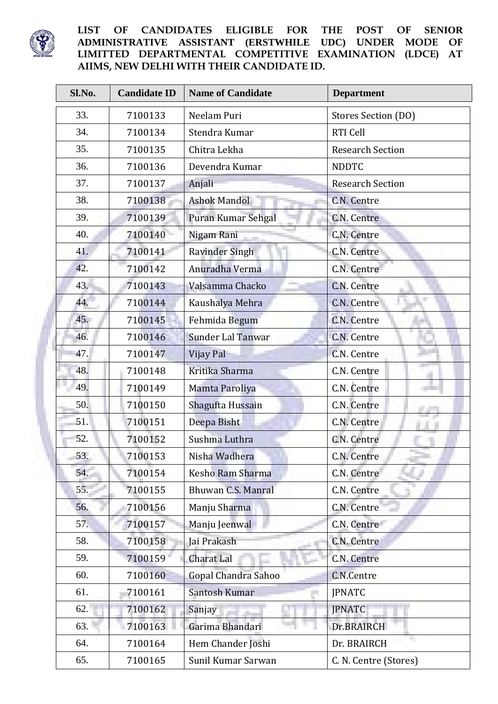

## **LIST OF CANDIDATES ELIGIBLE FOR THE POST OF SENIOR ADMINISTRATIVE ASSISTANT (ERSTWHILE UDC) UNDER MODE OF LIMITTED DEPARTMENTAL COMPETITIVE EXAMINATION (LDCE) AT AIIMS, NEW DELHI WITH THEIR CANDIDATE ID.**

| Sl.No. | <b>Candidate ID</b> | <b>Name of Candidate</b> | <b>Department</b>       |
|--------|---------------------|--------------------------|-------------------------|
| 33.    | 7100133             | Neelam Puri              | Stores Section (DO)     |
| 34.    | 7100134             | Stendra Kumar            | RTI Cell                |
| 35.    | 7100135             | Chitra Lekha             | <b>Research Section</b> |
| 36.    | 7100136             | Devendra Kumar           | <b>NDDTC</b>            |
| 37.    | 7100137             | Anjali                   | <b>Research Section</b> |
| 38.    | 7100138             | <b>Ashok Mandol</b>      | C.N. Centre             |
| 39.    | 7100139             | Puran Kumar Sehgal       | C.N. Centre             |
| 40.    | 7100140             | Nigam Rani               | C.N. Centre             |
| 41.    | 7100141             | <b>Ravinder Singh</b>    | C.N. Centre             |
| 42.    | 7100142             | Anuradha Verma           | C.N. Centre             |
| 43.    | 7100143             | Valsamma Chacko          | C.N. Centre             |
| 44.    | 7100144             | Kaushalya Mehra          | C.N. Centre             |
| 45.    | 7100145             | Fehmida Begum            | C.N. Centre             |
| 46.    | 7100146             | <b>Sunder Lal Tanwar</b> | C.N. Centre             |
| 47.    | 7100147             | Vijay Pal                | C.N. Centre             |
| 48.    | 7100148             | Kritika Sharma           | C.N. Centre             |
| 49.    | 7100149             | Mamta Paroliya           | C.N. Centre             |
| 50.    | 7100150             | Shagufta Hussain         | C.N. Centre             |
| 51.    | 7100151             | Deepa Bisht              | C.N. Centre             |
| 52.    | 7100152             | Sushma Luthra            | C.N. Centre             |
| 53.    | 7100153             | Nisha Wadhera            | C.N. Centre             |
| 54.    | 7100154             | Kesho Ram Sharma         | C.N. Centre             |
| 55.    | 7100155             | Bhuwan C.S. Manral       | C.N. Centre             |
| 56.    | 7100156             | Manju Sharma             | C.N. Centre             |
| 57.    | 7100157             | Manju Jeenwal            | C.N. Centre             |
| 58.    | 7100158             | Jai Prakash              | C.N. Centre             |
| 59.    | 7100159             | <b>Charat Lal</b>        | C.N. Centre             |
| 60.    | 7100160             | Gopal Chandra Sahoo      | C.N.Centre              |
| 61.    | 7100161             | Santosh Kumar            | <b>JPNATC</b>           |
| 62.    | 7100162             | Sanjay                   | <b>JPNATC</b>           |
| 63.    | 7100163             | Garima Bhandari          | Dr.BRAIRCH              |
| 64.    | 7100164             | Hem Chander Joshi        | Dr. BRAIRCH             |
| 65.    | 7100165             | Sunil Kumar Sarwan       | C. N. Centre (Stores)   |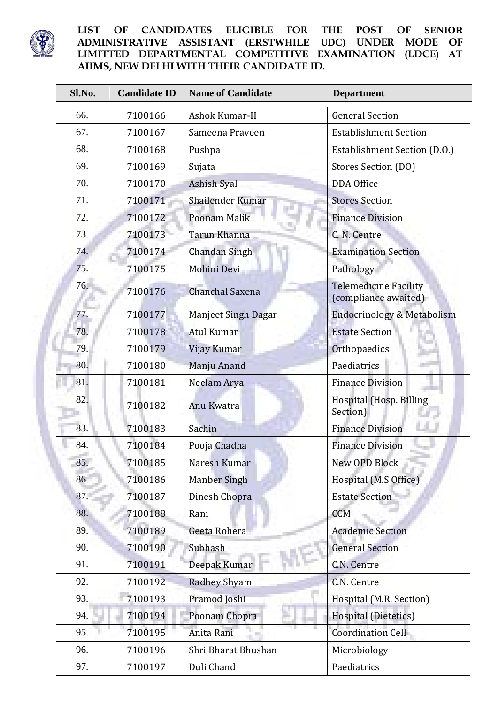

 $\blacksquare$ 

## **LIST OF CANDIDATES ELIGIBLE FOR THE POST OF SENIOR ADMINISTRATIVE ASSISTANT (ERSTWHILE UDC) UNDER MODE OF LIMITTED DEPARTMENTAL COMPETITIVE EXAMINATION (LDCE) AT AIIMS, NEW DELHI WITH THEIR CANDIDATE ID.**

| Sl.No. | <b>Candidate ID</b> | <b>Name of Candidate</b>   | <b>Department</b>                                    |
|--------|---------------------|----------------------------|------------------------------------------------------|
| 66.    | 7100166             | Ashok Kumar-II             | <b>General Section</b>                               |
| 67.    | 7100167             | Sameena Praveen            | <b>Establishment Section</b>                         |
| 68.    | 7100168             | Pushpa                     | Establishment Section (D.O.)                         |
| 69.    | 7100169             | Sujata                     | Stores Section (DO)                                  |
| 70.    | 7100170             | <b>Ashish Syal</b>         | DDA Office                                           |
| 71.    | 7100171             | Shailender Kumar           | <b>Stores Section</b>                                |
| 72.    | 7100172             | Poonam Malik               | <b>Finance Division</b>                              |
| 73.    | 7100173             | Tarun Khanna               | C. N. Centre                                         |
| 74.    | 7100174             | Chandan Singh              | <b>Examination Section</b>                           |
| 75.    | 7100175             | Mohini Devi                | Pathology                                            |
| 76.    | 7100176             | Chanchal Saxena            | <b>Telemedicine Facility</b><br>(compliance awaited) |
| 77.    | 7100177             | <b>Manjeet Singh Dagar</b> | <b>Endocrinology &amp; Metabolism</b>                |
| 78.    | 7100178             | <b>Atul Kumar</b>          | <b>Estate Section</b>                                |
| 79.    | 7100179             | Vijay Kumar                | Orthopaedics                                         |
| 80.    | 7100180             | Manju Anand                | Paediatrics                                          |
| 81.    | 7100181             | Neelam Arya                | <b>Finance Division</b>                              |
| 82.    | 7100182             | Anu Kwatra                 | Hospital (Hosp. Billing<br>Section)                  |
| 83.    | 7100183             | Sachin                     | <b>Finance Division</b>                              |
| 84.    | 7100184             | Pooja Chadha               | <b>Finance Division</b>                              |
| 85.    | 7100185             | Naresh Kumar               | New OPD Block                                        |
| 86.    | 7100186             | <b>Manber Singh</b>        | Hospital (M.S Office)                                |
| 87.    | 7100187             | Dinesh Chopra              | <b>Estate Section</b>                                |
| 88.    | 7100188             | Rani                       | <b>CCM</b>                                           |
| 89.    | 7100189             | Geeta Rohera               | <b>Academic Section</b>                              |
| 90.    | 7100190             | Subhash                    | <b>General Section</b>                               |
| 91.    | 7100191             | Deepak Kumar               | C.N. Centre                                          |
| 92.    | 7100192             | <b>Radhey Shyam</b>        | C.N. Centre                                          |
| 93.    | 7100193             | Pramod Joshi               | Hospital (M.R. Section)                              |
| 94.    | 7100194             | Poonam Chopra              | Hospital (Dietetics)                                 |
| 95.    | 7100195             | Anita Rani                 | Coordination Cell                                    |
| 96.    | 7100196             | Shri Bharat Bhushan        | Microbiology                                         |
| 97.    | 7100197             | Duli Chand                 | Paediatrics                                          |